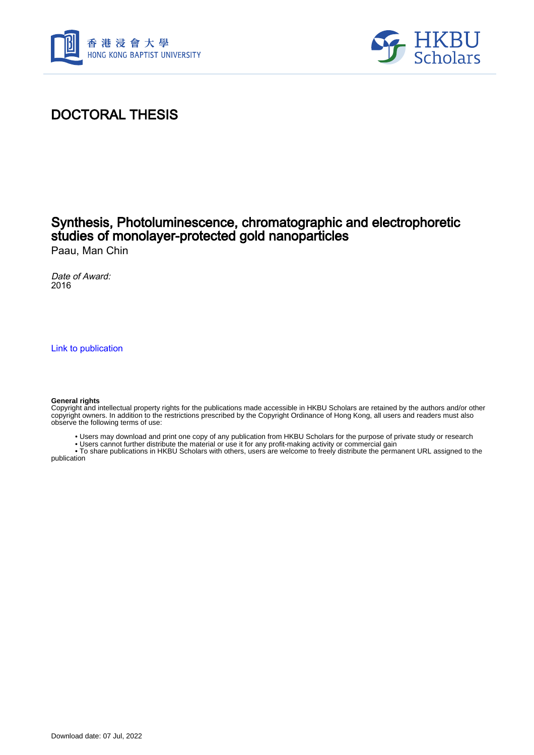



# DOCTORAL THESIS

### Synthesis, Photoluminescence, chromatographic and electrophoretic studies of monolayer-protected gold nanoparticles Paau, Man Chin

Date of Award: 2016

[Link to publication](https://scholars.hkbu.edu.hk/en/studentTheses/774cd76a-1146-4e4a-ac1b-dd8da59741ea)

#### **General rights**

Copyright and intellectual property rights for the publications made accessible in HKBU Scholars are retained by the authors and/or other copyright owners. In addition to the restrictions prescribed by the Copyright Ordinance of Hong Kong, all users and readers must also observe the following terms of use:

- Users may download and print one copy of any publication from HKBU Scholars for the purpose of private study or research
- Users cannot further distribute the material or use it for any profit-making activity or commercial gain

 • To share publications in HKBU Scholars with others, users are welcome to freely distribute the permanent URL assigned to the publication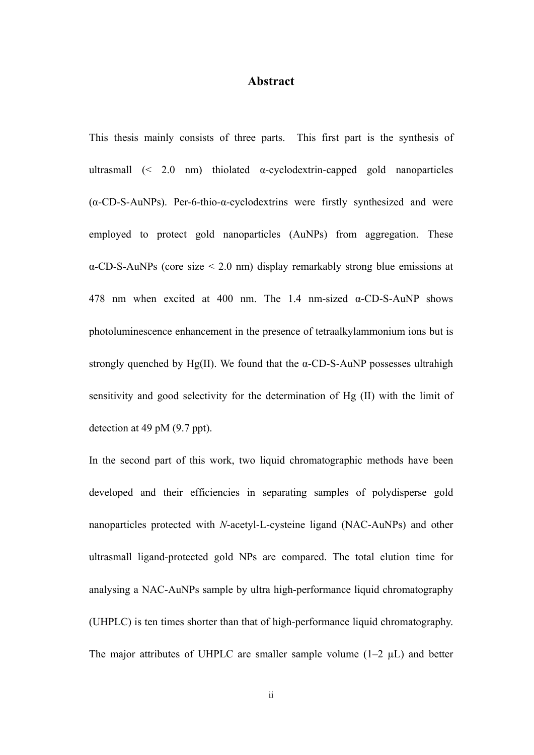### **Abstract**

This thesis mainly consists of three parts. This first part is the synthesis of ultrasmall  $\approx$  2.0 nm) thiolated  $\alpha$ -cyclodextrin-capped gold nanoparticles  $(\alpha$ -CD-S-AuNPs). Per-6-thio- $\alpha$ -cyclodextrins were firstly synthesized and were employed to protect gold nanoparticles (AuNPs) from aggregation. These  $\alpha$ -CD-S-AuNPs (core size  $\leq$  2.0 nm) display remarkably strong blue emissions at 478 nm when excited at 400 nm. The 1.4 nm-sized  $\alpha$ -CD-S-AuNP shows photoluminescence enhancement in the presence of tetraalkylammonium ions but is strongly quenched by Hg(II). We found that the  $\alpha$ -CD-S-AuNP possesses ultrahigh sensitivity and good selectivity for the determination of Hg (II) with the limit of detection at 49 pM (9.7 ppt).

In the second part of this work, two liquid chromatographic methods have been developed and their efficiencies in separating samples of polydisperse gold nanoparticles protected with *N*-acetyl-L-cysteine ligand (NAC-AuNPs) and other ultrasmall ligand-protected gold NPs are compared. The total elution time for analysing a NAC-AuNPs sample by ultra high-performance liquid chromatography (UHPLC) is ten times shorter than that of high-performance liquid chromatography. The major attributes of UHPLC are smaller sample volume  $(1-2 \mu L)$  and better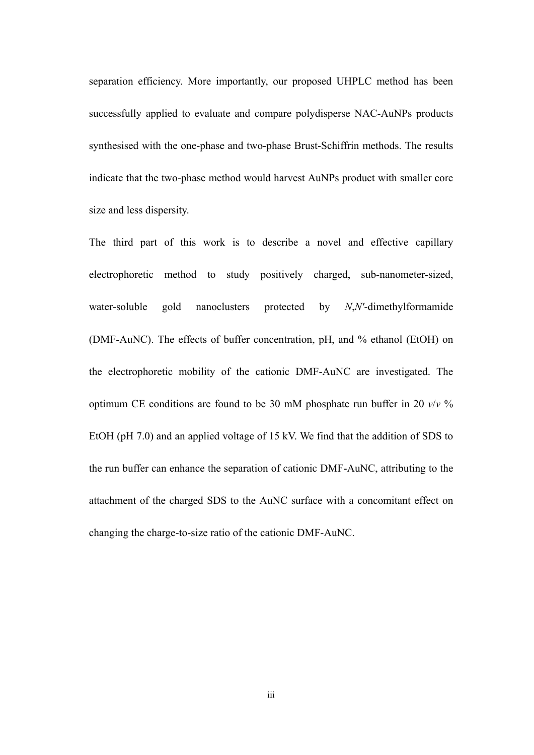separation efficiency. More importantly, our proposed UHPLC method has been successfully applied to evaluate and compare polydisperse NAC-AuNPs products synthesised with the one-phase and two-phase Brust-Schiffrin methods. The results indicate that the two-phase method would harvest AuNPs product with smaller core size and less dispersity.

The third part of this work is to describe a novel and effective capillary electrophoretic method to study positively charged, sub-nanometer-sized, water-soluble gold nanoclusters protected by *N*,*N'*-dimethylformamide (DMF-AuNC). The effects of buffer concentration, pH, and % ethanol (EtOH) on the electrophoretic mobility of the cationic DMF-AuNC are investigated. The optimum CE conditions are found to be 30 mM phosphate run buffer in 20  $v/v$  % EtOH (pH 7.0) and an applied voltage of 15 kV. We find that the addition of SDS to the run buffer can enhance the separation of cationic DMF-AuNC, attributing to the attachment of the charged SDS to the AuNC surface with a concomitant effect on changing the charge-to-size ratio of the cationic DMF-AuNC.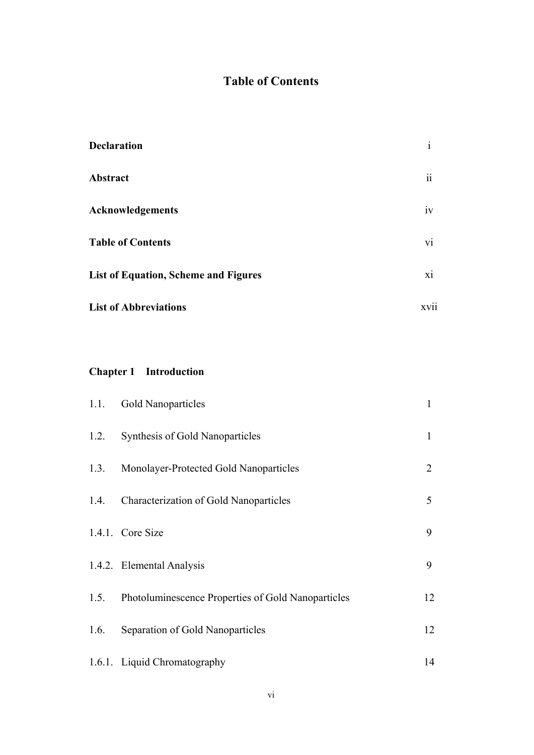### **Table of Contents**

| <b>Declaration</b>                          | $\mathbf{1}$     |
|---------------------------------------------|------------------|
| Abstract                                    | $\ddot{\rm{11}}$ |
| <b>Acknowledgements</b>                     | iv               |
| <b>Table of Contents</b>                    | V1               |
| <b>List of Equation, Scheme and Figures</b> | X1               |
| <b>List of Abbreviations</b>                | XV <sub>11</sub> |

## **Chapter 1 Introduction**

| 1.1. | Gold Nanoparticles                                 | 1              |
|------|----------------------------------------------------|----------------|
| 1.2. | Synthesis of Gold Nanoparticles                    | 1              |
| 1.3. | Monolayer-Protected Gold Nanoparticles             | $\overline{2}$ |
| 1.4. | Characterization of Gold Nanoparticles             | 5              |
|      | 1.4.1. Core Size                                   | 9              |
|      | 1.4.2. Elemental Analysis                          | 9              |
| 1.5. | Photoluminescence Properties of Gold Nanoparticles | 12             |
| 1.6. | Separation of Gold Nanoparticles                   | 12             |
|      | 1.6.1. Liquid Chromatography                       | 14             |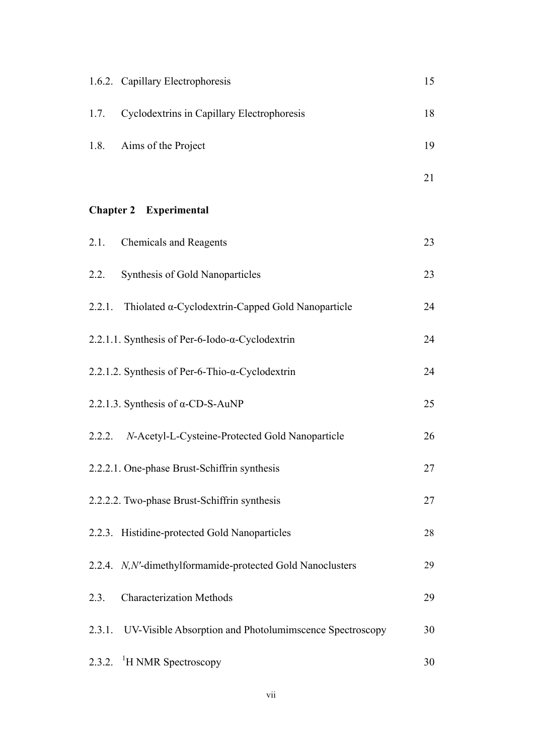|      | 1.6.2. Capillary Electrophoresis                                 | 15 |
|------|------------------------------------------------------------------|----|
| 1.7. | Cyclodextrins in Capillary Electrophoresis                       | 18 |
| 1.8. | Aims of the Project                                              | 19 |
|      |                                                                  | 21 |
|      | <b>Chapter 2</b> Experimental                                    |    |
| 2.1. | <b>Chemicals and Reagents</b>                                    | 23 |
| 2.2. | <b>Synthesis of Gold Nanoparticles</b>                           | 23 |
|      | 2.2.1. Thiolated $\alpha$ -Cyclodextrin-Capped Gold Nanoparticle | 24 |
|      | 2.2.1.1. Synthesis of Per-6-Iodo- $\alpha$ -Cyclodextrin         | 24 |
|      | 2.2.1.2. Synthesis of Per-6-Thio- $\alpha$ -Cyclodextrin         | 24 |
|      | 2.2.1.3. Synthesis of $\alpha$ -CD-S-AuNP                        | 25 |
|      | 2.2.2. N-Acetyl-L-Cysteine-Protected Gold Nanoparticle           | 26 |
|      | 2.2.2.1. One-phase Brust-Schiffrin synthesis                     | 27 |
|      | 2.2.2.2. Two-phase Brust-Schiffrin synthesis                     | 27 |
|      | 2.2.3. Histidine-protected Gold Nanoparticles                    | 28 |
|      | 2.2.4. N, N'-dimethylformamide-protected Gold Nanoclusters       | 29 |
| 2.3. | <b>Characterization Methods</b>                                  | 29 |
|      | 2.3.1. UV-Visible Absorption and Photolumimscence Spectroscopy   | 30 |
|      | 2.3.2. <sup>1</sup> H NMR Spectroscopy                           | 30 |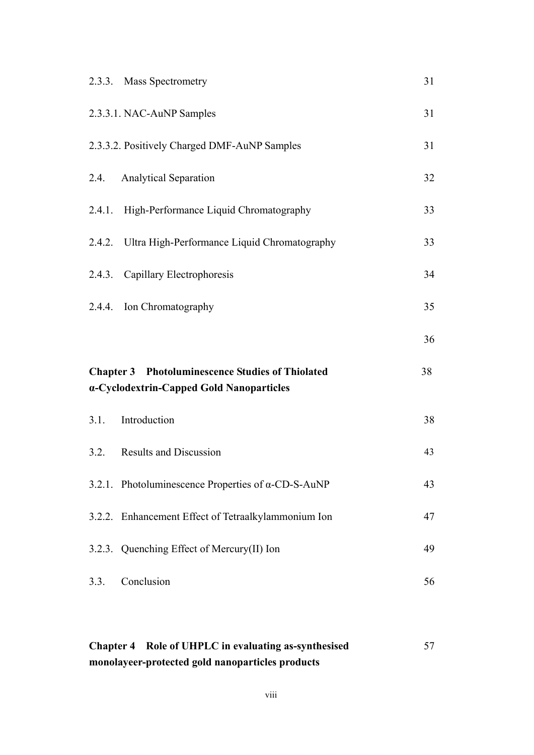| 2.3.3. Mass Spectrometry                                                                            | 31 |
|-----------------------------------------------------------------------------------------------------|----|
| 2.3.3.1. NAC-AuNP Samples                                                                           | 31 |
| 2.3.3.2. Positively Charged DMF-AuNP Samples                                                        | 31 |
| 2.4. Analytical Separation                                                                          | 32 |
| 2.4.1. High-Performance Liquid Chromatography                                                       | 33 |
| 2.4.2. Ultra High-Performance Liquid Chromatography                                                 | 33 |
| 2.4.3. Capillary Electrophoresis                                                                    | 34 |
| 2.4.4. Ion Chromatography                                                                           | 35 |
|                                                                                                     |    |
|                                                                                                     | 36 |
| <b>Chapter 3</b> Photoluminescence Studies of Thiolated<br>a-Cyclodextrin-Capped Gold Nanoparticles | 38 |
| 3.1. Introduction                                                                                   | 38 |
| 3.2. Results and Discussion                                                                         | 43 |
| 3.2.1. Photoluminescence Properties of $\alpha$ -CD-S-AuNP                                          | 43 |
| 3.2.2. Enhancement Effect of Tetraalkylammonium Ion                                                 | 47 |
| 3.2.3. Quenching Effect of Mercury(II) Ion                                                          | 49 |

| Chapter 4 Role of UHPLC in evaluating as-synthesised | 57 |
|------------------------------------------------------|----|
| monolayeer-protected gold nanoparticles products     |    |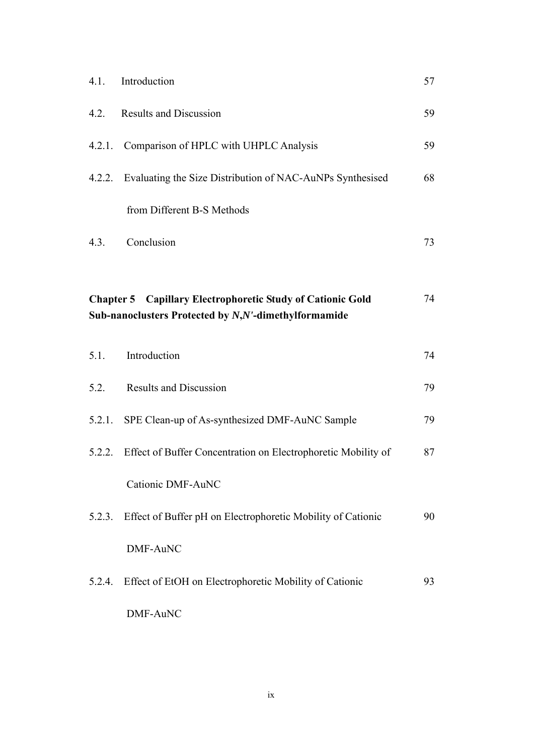| 4.1.   | Introduction                                                                                                              | 57 |
|--------|---------------------------------------------------------------------------------------------------------------------------|----|
|        | 4.2. Results and Discussion                                                                                               | 59 |
|        | 4.2.1. Comparison of HPLC with UHPLC Analysis                                                                             | 59 |
|        | 4.2.2. Evaluating the Size Distribution of NAC-AuNPs Synthesised                                                          | 68 |
|        | from Different B-S Methods                                                                                                |    |
| 4.3.   | Conclusion                                                                                                                | 73 |
|        |                                                                                                                           |    |
|        | <b>Chapter 5 Capillary Electrophoretic Study of Cationic Gold</b><br>Sub-nanoclusters Protected by N,N'-dimethylformamide | 74 |
| 5.1.   | Introduction                                                                                                              | 74 |
| 5.2.   | <b>Results and Discussion</b>                                                                                             | 79 |
|        | 5.2.1. SPE Clean-up of As-synthesized DMF-AuNC Sample                                                                     | 79 |
|        | 5.2.2. Effect of Buffer Concentration on Electrophoretic Mobility of                                                      | 87 |
|        | Cationic DMF-AuNC                                                                                                         |    |
| 5.2.3. | Effect of Buffer pH on Electrophoretic Mobility of Cationic                                                               | 90 |
|        | DMF-AuNC                                                                                                                  |    |
| 5.2.4. | Effect of EtOH on Electrophoretic Mobility of Cationic                                                                    | 93 |
|        | DMF-AuNC                                                                                                                  |    |